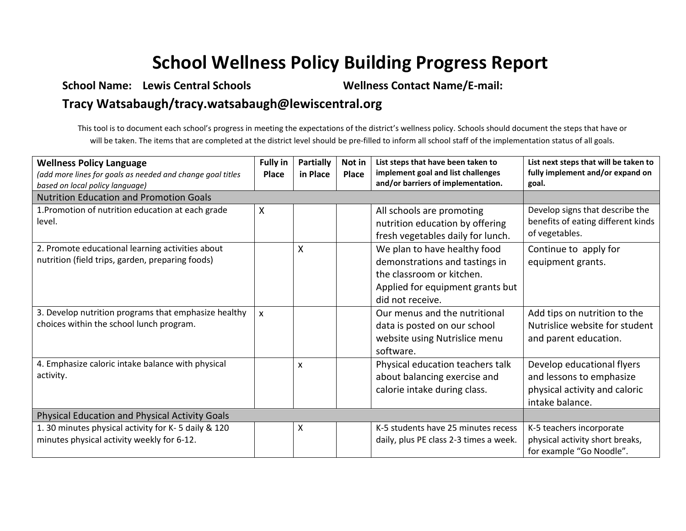## **School Wellness Policy Building Progress Report**

## **School Name: Lewis Central Schools Wellness Contact Name/E-mail: Tracy Watsabaugh/tracy.watsabaugh@lewiscentral.org**

This tool is to document each school's progress in meeting the expectations of the district's wellness policy. Schools should document the steps that have or will be taken. The items that are completed at the district level should be pre-filled to inform all school staff of the implementation status of all goals.

| <b>Wellness Policy Language</b><br>(add more lines for goals as needed and change goal titles<br>based on local policy language) | <b>Fully in</b><br><b>Place</b> | <b>Partially</b><br>in Place | Not in<br><b>Place</b> | List steps that have been taken to<br>implement goal and list challenges<br>and/or barriers of implementation.                                      | List next steps that will be taken to<br>fully implement and/or expand on<br>goal.                         |
|----------------------------------------------------------------------------------------------------------------------------------|---------------------------------|------------------------------|------------------------|-----------------------------------------------------------------------------------------------------------------------------------------------------|------------------------------------------------------------------------------------------------------------|
| <b>Nutrition Education and Promotion Goals</b>                                                                                   |                                 |                              |                        |                                                                                                                                                     |                                                                                                            |
| 1. Promotion of nutrition education at each grade<br>level.                                                                      | X                               |                              |                        | All schools are promoting<br>nutrition education by offering<br>fresh vegetables daily for lunch.                                                   | Develop signs that describe the<br>benefits of eating different kinds<br>of vegetables.                    |
| 2. Promote educational learning activities about<br>nutrition (field trips, garden, preparing foods)                             |                                 | X                            |                        | We plan to have healthy food<br>demonstrations and tastings in<br>the classroom or kitchen.<br>Applied for equipment grants but<br>did not receive. | Continue to apply for<br>equipment grants.                                                                 |
| 3. Develop nutrition programs that emphasize healthy<br>choices within the school lunch program.                                 | $\boldsymbol{\mathsf{x}}$       |                              |                        | Our menus and the nutritional<br>data is posted on our school<br>website using Nutrislice menu<br>software.                                         | Add tips on nutrition to the<br>Nutrislice website for student<br>and parent education.                    |
| 4. Emphasize caloric intake balance with physical<br>activity.                                                                   |                                 | X                            |                        | Physical education teachers talk<br>about balancing exercise and<br>calorie intake during class.                                                    | Develop educational flyers<br>and lessons to emphasize<br>physical activity and caloric<br>intake balance. |
| Physical Education and Physical Activity Goals                                                                                   |                                 |                              |                        |                                                                                                                                                     |                                                                                                            |
| 1. 30 minutes physical activity for K-5 daily & 120<br>minutes physical activity weekly for 6-12.                                |                                 | X                            |                        | K-5 students have 25 minutes recess<br>daily, plus PE class 2-3 times a week.                                                                       | K-5 teachers incorporate<br>physical activity short breaks,<br>for example "Go Noodle".                    |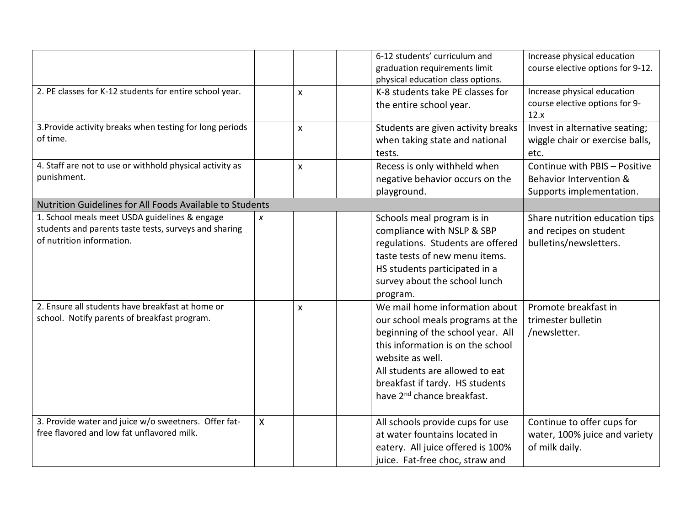|                                                          |              |                           | 6-12 students' curriculum and<br>Increase physical education         |
|----------------------------------------------------------|--------------|---------------------------|----------------------------------------------------------------------|
|                                                          |              |                           | course elective options for 9-12.<br>graduation requirements limit   |
|                                                          |              |                           | physical education class options.                                    |
| 2. PE classes for K-12 students for entire school year.  |              | $\pmb{\mathsf{X}}$        | Increase physical education<br>K-8 students take PE classes for      |
|                                                          |              |                           | course elective options for 9-<br>the entire school year.            |
|                                                          |              |                           | 12.x                                                                 |
| 3. Provide activity breaks when testing for long periods |              | $\boldsymbol{\mathsf{x}}$ | Students are given activity breaks<br>Invest in alternative seating; |
| of time.                                                 |              |                           | wiggle chair or exercise balls,<br>when taking state and national    |
|                                                          |              |                           | tests.<br>etc.                                                       |
| 4. Staff are not to use or withhold physical activity as |              | $\mathsf{x}$              | Recess is only withheld when<br>Continue with PBIS - Positive        |
| punishment.                                              |              |                           | negative behavior occurs on the<br>Behavior Intervention &           |
|                                                          |              |                           | playground.<br>Supports implementation.                              |
| Nutrition Guidelines for All Foods Available to Students |              |                           |                                                                      |
| 1. School meals meet USDA guidelines & engage            | X            |                           | Share nutrition education tips<br>Schools meal program is in         |
| students and parents taste tests, surveys and sharing    |              |                           | compliance with NSLP & SBP<br>and recipes on student                 |
| of nutrition information.                                |              |                           | regulations. Students are offered<br>bulletins/newsletters.          |
|                                                          |              |                           | taste tests of new menu items.                                       |
|                                                          |              |                           | HS students participated in a                                        |
|                                                          |              |                           | survey about the school lunch                                        |
|                                                          |              |                           | program.                                                             |
| 2. Ensure all students have breakfast at home or         |              | $\pmb{\times}$            | We mail home information about<br>Promote breakfast in               |
| school. Notify parents of breakfast program.             |              |                           | our school meals programs at the<br>trimester bulletin               |
|                                                          |              |                           | beginning of the school year. All<br>/newsletter.                    |
|                                                          |              |                           | this information is on the school                                    |
|                                                          |              |                           | website as well.                                                     |
|                                                          |              |                           | All students are allowed to eat                                      |
|                                                          |              |                           | breakfast if tardy. HS students                                      |
|                                                          |              |                           | have 2 <sup>nd</sup> chance breakfast.                               |
|                                                          |              |                           |                                                                      |
| 3. Provide water and juice w/o sweetners. Offer fat-     | $\mathsf{X}$ |                           | All schools provide cups for use<br>Continue to offer cups for       |
| free flavored and low fat unflavored milk.               |              |                           | at water fountains located in<br>water, 100% juice and variety       |
|                                                          |              |                           | eatery. All juice offered is 100%<br>of milk daily.                  |
|                                                          |              |                           |                                                                      |
|                                                          |              |                           | juice. Fat-free choc, straw and                                      |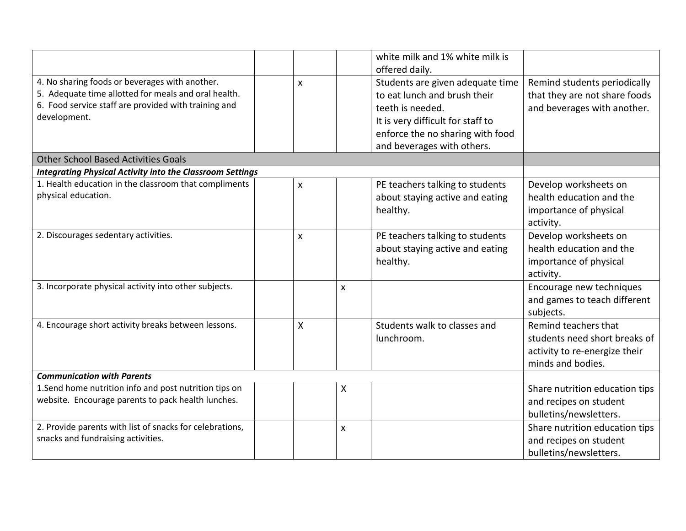|                                                                  |              |                           | white milk and 1% white milk is   |                                |
|------------------------------------------------------------------|--------------|---------------------------|-----------------------------------|--------------------------------|
|                                                                  |              |                           | offered daily.                    |                                |
| 4. No sharing foods or beverages with another.                   | X            |                           | Students are given adequate time  | Remind students periodically   |
| 5. Adequate time allotted for meals and oral health.             |              |                           | to eat lunch and brush their      | that they are not share foods  |
| 6. Food service staff are provided with training and             |              |                           | teeth is needed.                  | and beverages with another.    |
| development.                                                     |              |                           | It is very difficult for staff to |                                |
|                                                                  |              |                           | enforce the no sharing with food  |                                |
|                                                                  |              |                           | and beverages with others.        |                                |
| <b>Other School Based Activities Goals</b>                       |              |                           |                                   |                                |
| <b>Integrating Physical Activity into the Classroom Settings</b> |              |                           |                                   |                                |
| 1. Health education in the classroom that compliments            | X            |                           | PE teachers talking to students   | Develop worksheets on          |
| physical education.                                              |              |                           | about staying active and eating   | health education and the       |
|                                                                  |              |                           | healthy.                          | importance of physical         |
|                                                                  |              |                           |                                   | activity.                      |
| 2. Discourages sedentary activities.                             | $\mathsf{x}$ |                           | PE teachers talking to students   | Develop worksheets on          |
|                                                                  |              |                           | about staying active and eating   | health education and the       |
|                                                                  |              |                           | healthy.                          | importance of physical         |
|                                                                  |              |                           |                                   | activity.                      |
| 3. Incorporate physical activity into other subjects.            |              | $\boldsymbol{\mathsf{x}}$ |                                   | Encourage new techniques       |
|                                                                  |              |                           |                                   | and games to teach different   |
|                                                                  |              |                           |                                   | subjects.                      |
| 4. Encourage short activity breaks between lessons.              | X            |                           | Students walk to classes and      | Remind teachers that           |
|                                                                  |              |                           | lunchroom.                        | students need short breaks of  |
|                                                                  |              |                           |                                   | activity to re-energize their  |
|                                                                  |              |                           |                                   | minds and bodies.              |
| <b>Communication with Parents</b>                                |              |                           |                                   |                                |
| 1.Send home nutrition info and post nutrition tips on            |              | Χ                         |                                   | Share nutrition education tips |
| website. Encourage parents to pack health lunches.               |              |                           |                                   | and recipes on student         |
|                                                                  |              |                           |                                   | bulletins/newsletters.         |
| 2. Provide parents with list of snacks for celebrations,         |              | $\boldsymbol{\mathsf{x}}$ |                                   | Share nutrition education tips |
| snacks and fundraising activities.                               |              |                           |                                   | and recipes on student         |
|                                                                  |              |                           |                                   | bulletins/newsletters.         |